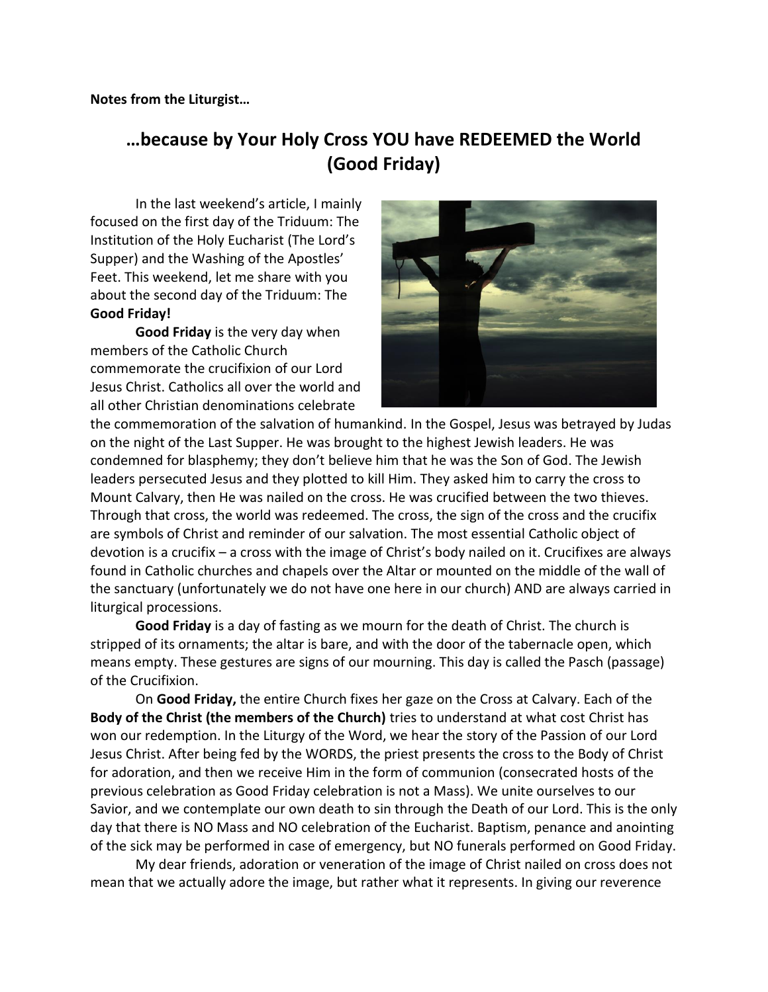## **…because by Your Holy Cross YOU have REDEEMED the World (Good Friday)**

In the last weekend's article, I mainly focused on the first day of the Triduum: The Institution of the Holy Eucharist (The Lord's Supper) and the Washing of the Apostles' Feet. This weekend, let me share with you about the second day of the Triduum: The **Good Friday!**

**Good Friday** is the very day when members of the Catholic Church commemorate the crucifixion of our Lord Jesus Christ. Catholics all over the world and all other Christian denominations celebrate



the commemoration of the salvation of humankind. In the Gospel, Jesus was betrayed by Judas on the night of the Last Supper. He was brought to the highest Jewish leaders. He was condemned for blasphemy; they don't believe him that he was the Son of God. The Jewish leaders persecuted Jesus and they plotted to kill Him. They asked him to carry the cross to Mount Calvary, then He was nailed on the cross. He was crucified between the two thieves. Through that cross, the world was redeemed. The cross, the sign of the cross and the crucifix are symbols of Christ and reminder of our salvation. The most essential Catholic object of devotion is a crucifix – a cross with the image of Christ's body nailed on it. Crucifixes are always found in Catholic churches and chapels over the Altar or mounted on the middle of the wall of the sanctuary (unfortunately we do not have one here in our church) AND are always carried in liturgical processions.

**Good Friday** is a day of fasting as we mourn for the death of Christ. The church is stripped of its ornaments; the altar is bare, and with the door of the tabernacle open, which means empty. These gestures are signs of our mourning. This day is called the Pasch (passage) of the Crucifixion.

On **Good Friday,** the entire Church fixes her gaze on the Cross at Calvary. Each of the **Body of the Christ (the members of the Church)** tries to understand at what cost Christ has won our redemption. In the Liturgy of the Word, we hear the story of the Passion of our Lord Jesus Christ. After being fed by the WORDS, the priest presents the cross to the Body of Christ for adoration, and then we receive Him in the form of communion (consecrated hosts of the previous celebration as Good Friday celebration is not a Mass). We unite ourselves to our Savior, and we contemplate our own death to sin through the Death of our Lord. This is the only day that there is NO Mass and NO celebration of the Eucharist. Baptism, penance and anointing of the sick may be performed in case of emergency, but NO funerals performed on Good Friday.

My dear friends, adoration or veneration of the image of Christ nailed on cross does not mean that we actually adore the image, but rather what it represents. In giving our reverence